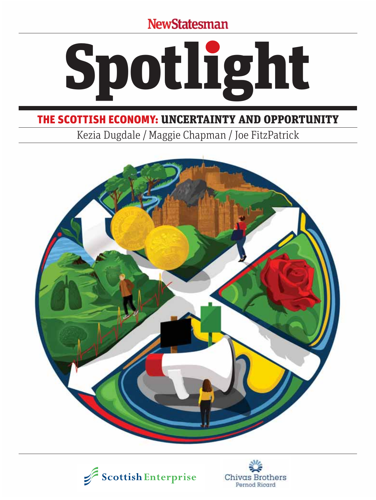**NewStatesman** 



### THE SCOTTISH ECONOMY: UNCERTAINTY AND OPPORTUNITY

Kezia Dugdale / Maggie Chapman / Joe FitzPatrick





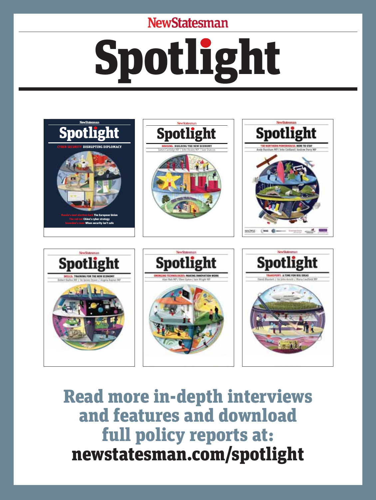### **NewStatesman**

# Spotlight



Read more in-depth interviews and features and download full policy reports at: newstatesman.com/spotlight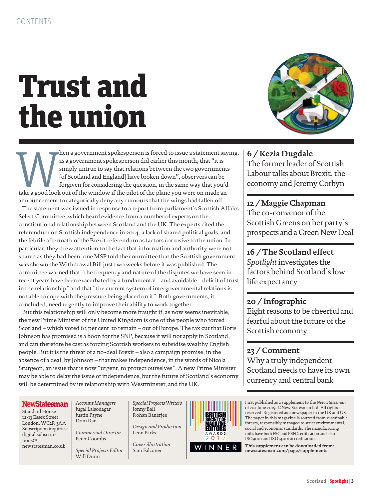# Trust and the union



the a government spokesperson is forced to issue a statement saying,<br>
as a government spokesperson did earlier this month, that "it is<br>
simply untrue to say that relations between the two governments<br>
[of Scotland and Engl as a government spokesperson did earlier this month, that "it is simply untrue to say that relations between the two governments [of Scotland and England] have broken down", observers can be forgiven for considering the question, in the same way that you'd announcement to categorically deny any rumours that the wings had fallen off.

 The statement was issued in response to a report from parliament's Scottish Affairs Select Committee, which heard evidence from a number of experts on the constitutional relationship between Scotland and the UK. The experts cited the referendum on Scottish independence in 2014, a lack of shared political goals, and the febrile aftermath of the Brexit referendum as factors corrosive to the union. In particular, they drew attention to the fact that information and authority were not shared as they had been: one MSP told the committee that the Scottish government was shown the Withdrawal Bill just two weeks before it was published. The committee warned that "the frequency and nature of the disputes we have seen in recent years have been exacerbated by a fundamental – and avoidable – deficit of trust in the relationship" and that "the current system of intergovernmental relations is not able to cope with the pressure being placed on it". Both governments, it concluded, need urgently to improve their ability to work together.

 But this relationship will only become more fraught if, as now seems inevitable, the new Prime Minister of the United Kingdom is one of the people who forced Scotland – which voted 62 per cent to remain – out of Europe. The tax cut that Boris Johnson has promised is a boon for the SNP, because it will not apply in Scotland, and can therefore be cast as forcing Scottish workers to subsidise wealthy English people. But it is the threat of a no-deal Brexit – also a campaign promise, in the absence of a deal, by Johnson – that makes independence, in the words of Nicola Sturgeon, an issue that is now "urgent, to protect ourselves". A new Prime Minister may be able to delay the issue of independence, but the future of Scotland's economy will be determined by its relationship with Westminster, and the UK.

### **6 / Kezia Dugdale**

The former leader of Scottish Labour talks about Brexit, the economy and Jeremy Corbyn

#### **12 / Maggie Chapman**  The co-convenor of the Scottish Greens on her party's prospects and a Green New Deal

**16 / The Scotland effect**  *Spotlight* investigates the factors behind Scotland's low life expectancy

### **20 / Infographic**

Eight reasons to be cheerful and fearful about the future of the Scottish economy

**23 / Comment**  Why a truly independent Scotland needs to have its own currency and central bank

#### **NewStatesman**

Standard House 12-13 Essex Street London, WC2R 3AA Subscription inquiries: digital.subscriptions@ newstatesman.co.uk

*Account Managers* Jugal Lalsodagar Justin Payne Dom Rae

*Commercial Director* Peter Coombs

*Special Projects Editor* Will Dunn

*Special Projects Writers* Jonny Ball Rohan Banerjee

*Design and Production* Leon Parks

*Cover illustration* Sam Falconer



First published as a supplement to the *New Statesman* of 21st June 2019. ©New Statesman Ltd. All rights reserved. Registered as a newspaper in the UK and US. The paper in this magazine is sourced from sustainable forests, responsibly managed to strict environmental, social and economic standards. The manufacturing mills have both FSC and PEFC certification and also ISO9001 and ISO14001 accreditation.

**This supplement can be downloaded from: newstatesman.com/page/supplements**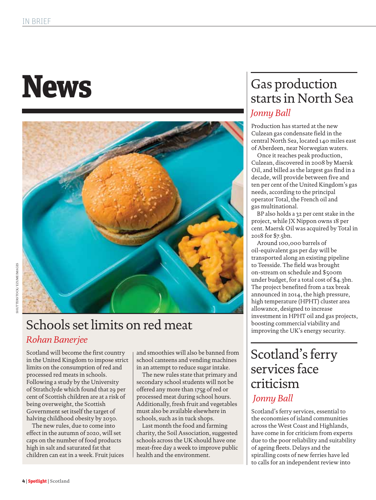# **News**



# Schools set limits on red meat

### *Rohan Banerjee*

Scotland will become the first country in the United Kingdom to impose strict limits on the consumption of red and processed red meats in schools. Following a study by the University of Strathclyde which found that 29 per cent of Scottish children are at a risk of being overweight, the Scottish Government set itself the target of halving childhood obesity by 2030.

The new rules, due to come into effect in the autumn of 2020, will set caps on the number of food products high in salt and saturated fat that children can eat in a week. Fruit juices and smoothies will also be banned from school canteens and vending machines in an attempt to reduce sugar intake.

The new rules state that primary and secondary school students will not be offered any more than 175g of red or processed meat during school hours. Additionally, fresh fruit and vegetables must also be available elsewhere in schools, such as in tuck shops.

Last month the food and farming charity, the Soil Association, suggested schools across the UK should have one meat-free day a week to improve public health and the environment.

### Gas production starts in North Sea *Jonny Ball*

Production has started at the new Culzean gas condensate field in the central North Sea, located 140 miles east of Aberdeen, near Norwegian waters.

Once it reaches peak production, Culzean, discovered in 2008 by Maersk Oil, and billed as the largest gas find in a decade, will provide between five and ten per cent of the United Kingdom's gas needs, according to the principal operator Total, the French oil and gas multinational.

BP also holds a 32 per cent stake in the project, while JX Nippon owns 18 per cent. Maersk Oil was acquired by Total in 2018 for \$7.5bn.

Around 100,000 barrels of oil-equivalent gas per day will be transported along an existing pipeline to Teesside. The field was brought on-stream on schedule and \$500m under budget, for a total cost of \$4.3bn. The project benefited from a tax break announced in 2014, the high pressure, high temperature (HPHT) cluster area allowance, designed to increase investment in HPHT oil and gas projects, boosting commercial viability and improving the UK's energy security.

### Scotland's ferry services face criticism *Jonny Ball*

Scotland's ferry services, essential to the economies of island communities across the West Coast and Highlands, have come in for criticism from experts due to the poor reliability and suitability of ageing fleets. Delays and the spiralling costs of new ferries have led to calls for an independent review into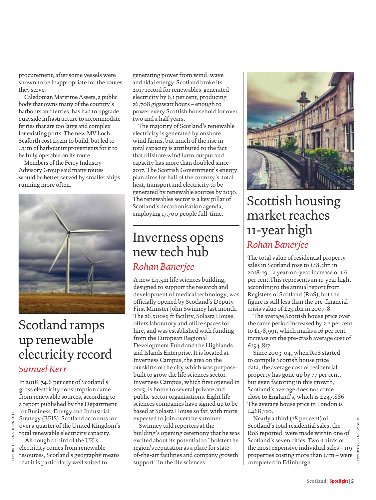procurement, after some vessels were shown to be inappropriate for the routes they serve.

Caledonian Maritime Assets, a public body that owns many of the country's harbours and ferries, has had to upgrade quayside infrastructure to accommodate ferries that are too large and complex for existing ports. The new MV Loch Seaforth cost £42m to build, but led to £31m of harbour improvements for it to be fully operable on its route.

Members of the Ferry Industry Advisory Group said many routes would be better served by smaller ships running more often.



### Scotland ramps up renewable electricity record *Samuel Kerr*

In 2018, 74.6 per cent of Scotland's gross electricity consumption came from renewable sources, according to a report published by the Department for Business, Energy and Industrial Strategy (BEIS). Scotland accounts for over a quarter of the United Kingdom's total renewable electricity capacity.

Although a third of the UK's electricity comes from renewable resources, Scotland's geography means that it is particularly well suited to

SHUTTERSTOCK/ MARK CONNELLY

**LIERSTOCK** SHUT generating power from wind, wave and tidal energy. Scotland broke its 2017 record for renewables-generated electricity by 6.1 per cent, producing 26,708 gigawatt hours – enough to power every Scottish household for over two and a half years.

The majority of Scotland's renewable electricity is generated by onshore wind farms, but much of the rise in total capacity is attributed to the fact that offshore wind farm output and capacity has more than doubled since 2017. The Scottish Government's energy plan aims for half of the country's total heat, transport and electricity to be generated by renewable sources by 2030. The renewables sector is a key pillar of Scotland's decarbonisation agenda, employing 17,700 people full-time.

### Inverness opens new tech hub

### *Rohan Banerjee*

A new £4.5m life sciences building, designed to support the research and development of medical technology, was officially opened by Scotland's Deputy First Minister John Swinney last month. The 26,500sq ft facility, Solasta House, offers laboratory and office spaces for hire, and was established with funding from the European Regional Development Fund and the Highlands and Islands Enterprise. It is located at Inverness Campus, the area on the outskirts of the city which was purposebuilt to grow the life sciences sector. Inverness Campus, which first opened in 2015, is home to several private and public-sector organisations. Eight life sciences companies have signed up to be based at Solasta House so far, with more expected to join over the summer.

Swinney told reporters at the building's opening ceremony that he was excited about its potential to "bolster the region's reputation as a place for stateof-the-art facilities and company growth support" in the life sciences.



### Scottish housing market reaches 11-year high *Rohan Banerjee*

The total value of residential property sales in Scotland rose to £18.2bn in 2018-19 – a year-on-year increase of 1.6 per cent.This represents an 11-year high, according to the annual report from Registers of Scotland (RoS), but the figure is still less than the pre-financial crisis value of £23.1bn in 2007-8.

The average Scottish house price over the same period increased by 2.2 per cent to £178,991, which marks a 16 per cent increase on the pre-crash average cost of £154,817.

Since 2003-04, when RoS started to compile Scottish house price data, the average cost of residential property has gone up by 77 per cent, but even factoring in this growth, Scotland's average does not come close to England's, which is £247,886. The average house price in London is £468,120.

Nearly a third (28 per cent) of Scotland's total residential sales, the RoS reported, were made within one of Scotland's seven cities. Two-thirds of the most expensive individual sales – 119 properties costing more than £1m – were completed in Edinburgh.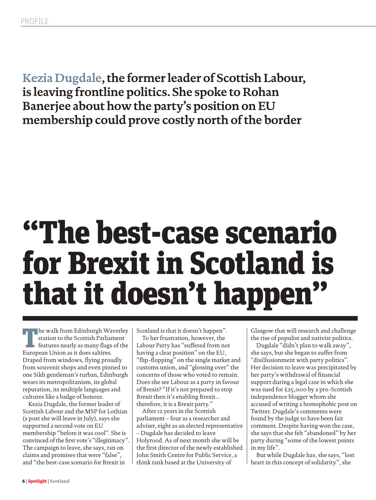**Kezia Dugdale, the former leader of Scottish Labour, is leaving frontline politics. She spoke to Rohan Banerjee about how the party's position on EU membership could prove costly north of the border**

# "The best-case scenario for Brexit in Scotland is that it doesn't happen"

 $\blacksquare$  he walk from Edinburgh Waverley station to the Scottish Parliament features nearly as many flags of the European Union as it does saltires. Draped from windows, flying proudly from souvenir shops and even pinned to one Sikh gentleman's turban, Edinburgh wears its metropolitanism, its global reputation, its multiple languages and cultures like a badge of honour.

Kezia Dugdale, the former leader of Scottish Labour and the MSP for Lothian (a post she will leave in July), says she supported a second vote on EU membership "before it was cool". She is convinced of the first vote's "illegitimacy". The campaign to leave, she says, ran on claims and promises that were "false", and "the best-case scenario for Brexit in

Scotland is that it doesn't happen".

To her frustration, however, the Labour Party has "suffered from not having a clear position" on the EU, "flip-flopping" on the single market and customs union, and "glossing over" the concerns of those who voted to remain. Does she see Labour as a party in favour of Brexit? "If it's not prepared to stop Brexit then it's enabling Brexit... therefore, it is a Brexit party."

After 12 years in the Scottish parliament – four as a researcher and adviser, eight as an elected representative – Dugdale has decided to leave Holyrood. As of next month she will be the first director of the newly established John Smith Centre for Public Service, a think tank based at the University of

Glasgow that will research and challenge the rise of populist and nativist politics.

Dugdale "didn't plan to walk away", she says, but she began to suffer from "disillusionment with party politics". Her decision to leave was precipitated by her party's withdrawal of financial support during a legal case in which she was sued for £25,000 by a pro-Scottish independence blogger whom she accused of writing a homophobic post on Twitter. Dugdale's comments were found by the judge to have been fair comment. Despite having won the case, she says that she felt "abandoned" by her party during "some of the lowest points in my life".

But while Dugdale has, she says, "lost heart in this concept of solidarity", she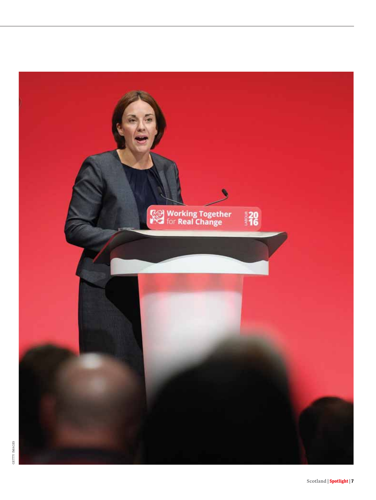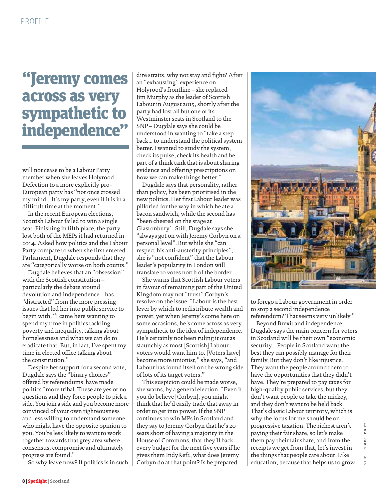# "Jeremy comes across as very sympathetic to independence"

will not cease to be a Labour Party member when she leaves Holyrood. Defection to a more explicitly pro-European party has "not once crossed my mind... It's my party, even if it is in a difficult time at the moment."

In the recent European elections, Scottish Labour failed to win a single seat. Finishing in fifth place, the party lost both of the MEPs it had returned in 2014. Asked how politics and the Labour Party compare to when she first entered Parliament, Dugdale responds that they are "categorically worse on both counts."

Dugdale believes that an "obsession" with the Scottish constitution – particularly the debate around devolution and independence – has "distracted" from the more pressing issues that led her into public service to begin with. "I came here wanting to spend my time in politics tackling poverty and inequality, talking about homelessness and what we can do to eradicate that. But, in fact, I've spent my time in elected office talking about the constitution."

Despite her support for a second vote, Dugdale says the "binary choices" offered by referendums have made politics "more tribal. These are yes or no questions and they force people to pick a side. You join a side and you become more convinced of your own righteousness and less willing to understand someone who might have the opposite opinion to you. You're less likely to want to work together towards that grey area where consensus, compromise and ultimately progress are found."

So why leave now? If politics is in such

dire straits, why not stay and fight? After an "exhausting" experience on Holyrood's frontline – she replaced Jim Murphy as the leader of Scottish Labour in August 2015, shortly after the party had lost all but one of its Westminster seats in Scotland to the SNP – Dugdale says she could be understood in wanting to "take a step back... to understand the political system better. I wanted to study the system, check its pulse, check its health and be part of a think tank that is about sharing evidence and offering prescriptions on how we can make things better."

Dugdale says that personality, rather than policy, has been prioritised in the new politics. Her first Labour leader was pilloried for the way in which he ate a bacon sandwich, while the second has "been cheered on the stage at Glastonbury". Still, Dugdale says she "always got on with Jeremy Corbyn on a personal level". But while she "can respect his anti-austerity principles", she is "not confident" that the Labour leader's popularity in London will translate to votes north of the border.

She warns that Scottish Labour voters in favour of remaining part of the United Kingdom may not "trust" Corbyn's resolve on the issue. "Labour is the best lever by which to redistribute wealth and power, yet when Jeremy's come here on some occasions, he's come across as very sympathetic to the idea of independence. He's certainly not been ruling it out as staunchly as most [Scottish] Labour voters would want him to. [Voters have] become more unionist," she says, "and Labour has found itself on the wrong side of lots of its target voters."

This suspicion could be made worse, she warns, by a general election. "Even if you do believe [Corbyn], you might think that he'd easily trade that away in order to get into power. If the SNP continues to win MPs in Scotland and they say to Jeremy Corbyn that he's 20 seats short of having a majority in the House of Commons, that they'll back every budget for the next five years if he gives them IndyRef2, what does Jeremy Corbyn do at that point? Is he prepared



to forego a Labour government in order to stop a second independence referendum? That seems very unlikely."

Beyond Brexit and independence, Dugdale says the main concern for voters in Scotland will be their own "economic security... People in Scotland want the best they can possibly manage for their family. But they don't like injustice. They want the people around them to have the opportunities that they didn't have. They're prepared to pay taxes for high-quality public services, but they don't want people to take the mickey, and they don't want to be held back. That's classic Labour territory, which is why the focus for me should be on progressive taxation. The richest aren't paying their fair share, so let's make them pay their fair share, and from the receipts we get from that, let's invest in the things that people care about. Like education, because that helps us to grow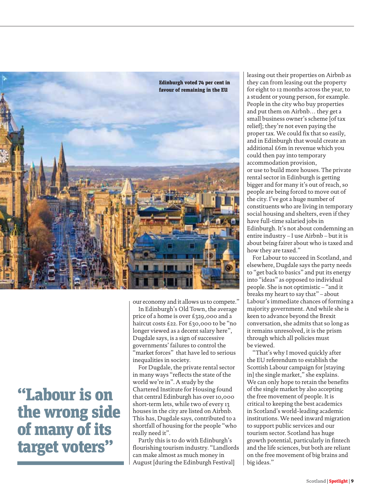

"Labour is on the wrong side of many of its target voters"

our economy and it allows us to compete."

In Edinburgh's Old Town, the average price of a home is over £329,000 and a haircut costs £22. For £30,000 to be "no longer viewed as a decent salary here", Dugdale says, is a sign of successive governments' failures to control the "market forces" that have led to serious inequalities in society.

For Dugdale, the private rental sector in many ways "reflects the state of the world we're in". A study by the Chartered Institute for Housing found that central Edinburgh has over 10,000 short-term lets, while two of every 13 houses in the city are listed on Airbnb. This has, Dugdale says, contributed to a shortfall of housing for the people "who really need it".

Partly this is to do with Edinburgh's flourishing tourism industry. "Landlords can make almost as much money in August [during the Edinburgh Festival]

leasing out their properties on Airbnb as they can from leasing out the property for eight to 12 months across the year, to a student or young person, for example. People in the city who buy properties and put them on Airbnb… they get a small business owner's scheme [of tax relief]; they're not even paying the proper tax. We could fix that so easily, and in Edinburgh that would create an additional £6m in revenue which you could then pay into temporary accommodation provision, or use to build more houses. The private rental sector in Edinburgh is getting bigger and for many it's out of reach, so people are being forced to move out of the city. I've got a huge number of constituents who are living in temporary social housing and shelters, even if they have full-time salaried jobs in Edinburgh. It's not about condemning an entire industry – I use Airbnb – but it is about being fairer about who is taxed and how they are taxed."

For Labour to succeed in Scotland, and elsewhere, Dugdale says the party needs to "get back to basics" and put its energy into "ideas" as opposed to individual people. She is not optimistic – "and it breaks my heart to say that" – about Labour's immediate chances of forming a majority government. And while she is keen to advance beyond the Brexit conversation, she admits that so long as it remains unresolved, it is the prism through which all policies must be viewed.

"That's why I moved quickly after the EU referendum to establish the Scottish Labour campaign for [staying in] the single market," she explains. We can only hope to retain the benefits of the single market by also accepting the free movement of people. It is critical to keeping the best academics in Scotland's world-leading academic institutions. We need inward migration to support public services and our tourism sector. Scotland has huge growth potential, particularly in fintech and the life sciences, but both are reliant on the free movement of big brains and big ideas."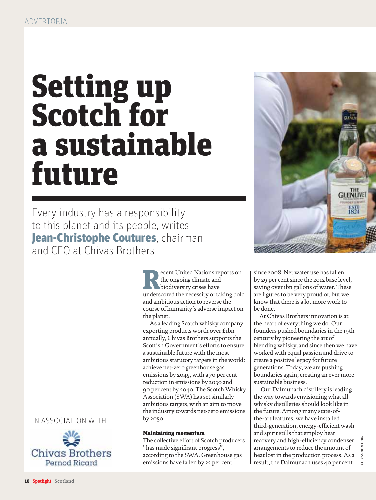# Setting up Scotch for a sustainable future

Every industry has a responsibility to this planet and its people, writes Jean-Christophe Coutures, chairman and CEO at Chivas Brothers

IN ASSOCIATION WITH



**Referent United Nations reports on<br>
the ongoing climate and<br>
biodiversity crises have<br>
underscored the necessity of taking bold** the ongoing climate and biodiversity crises have and ambitious action to reverse the course of humanity's adverse impact on the planet.

 As a leading Scotch whisky company exporting products worth over £1bn annually, Chivas Brothers supports the Scottish Government's efforts to ensure a sustainable future with the most ambitious statutory targets in the world: achieve net-zero greenhouse gas emissions by 2045, with a 70 per cent reduction in emissions by 2030 and 90 per cent by 2040. The Scotch Whisky Association (SWA) has set similarly ambitious targets, with an aim to move the industry towards net-zero emissions by 2050.

#### Maintaining momentum

The collective effort of Scotch producers "has made significant progress", according to the SWA. Greenhouse gas emissions have fallen by 22 per cent



since 2008. Net water use has fallen by 29 per cent since the 2012 base level, saving over 1bn gallons of water. These are figures to be very proud of, but we know that there is a lot more work to be done.

At Chivas Brothers innovation is at the heart of everything we do. Our founders pushed boundaries in the 19th century by pioneering the art of blending whisky, and since then we have worked with equal passion and drive to create a positive legacy for future generations. Today, we are pushing boundaries again, creating an ever more sustainable business.

 Our Dalmunach distillery is leading the way towards envisioning what all whisky distilleries should look like in the future. Among many state-ofthe-art features, we have installed third-generation, energy-efficient wash and spirit stills that employ heat recovery and high-efficiency condenser arrangements to reduce the amount of heat lost in the production process. As a result, the Dalmunach uses 40 per cent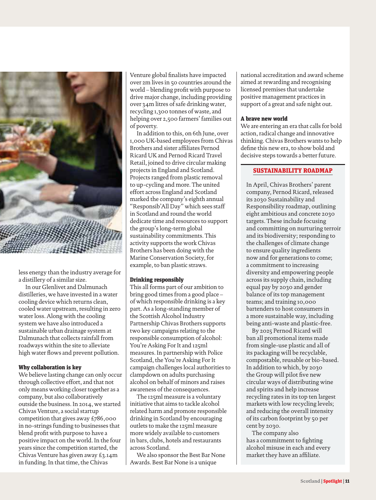

less energy than the industry average for a distillery of a similar size.

 In our Glenlivet and Dalmunach distilleries, we have invested in a water cooling device which returns clean, cooled water upstream, resulting in zero water loss. Along with the cooling system we have also introduced a sustainable urban drainage system at Dalmunach that collects rainfall from roadways within the site to alleviate high water flows and prevent pollution.

#### Why collaboration is key

We believe lasting change can only occur through collective effort, and that not only means working closer together as a company, but also collaboratively outside the business. In 2014, we started Chivas Venture, a social startup competition that gives away £786,000 in no-strings funding to businesses that blend profit with purpose to have a positive impact on the world. In the four years since the competition started, the Chivas Venture has given away £3.14m in funding. In that time, the Chivas

Venture global finalists have impacted over 2m lives in 50 countries around the world – blending profit with purpose to drive major change, including providing over 34m litres of safe drinking water, recycling 1,300 tonnes of waste, and helping over 2,500 farmers' families out of poverty.

 In addition to this, on 6th June, over 1,000 UK-based employees from Chivas Brothers and sister affiliates Pernod Ricard UK and Pernod Ricard Travel Retail, joined to drive circular making projects in England and Scotland. Projects ranged from plastic removal to up-cycling and more. The united effort across England and Scotland marked the company's eighth annual "Responsib'All Day" which sees staff in Scotland and round the world dedicate time and resources to support the group's long-term global sustainability commitments. This activity supports the work Chivas Brothers has been doing with the Marine Conservation Society, for example, to ban plastic straws.

#### Drinking responsibly

This all forms part of our ambition to bring good times from a good place – of which responsible drinking is a key part. As a long-standing member of the Scottish Alcohol Industry Partnership Chivas Brothers supports two key campaigns relating to the responsible consumption of alcohol: You're Asking For It and 125ml measures. In partnership with Police Scotland, the You're Asking For It campaign challenges local authorities to clampdown on adults purchasing alcohol on behalf of minors and raises awareness of the consequences.

 The 125ml measure is a voluntary initiative that aims to tackle alcohol related harm and promote responsible drinking in Scotland by encouraging outlets to make the 125ml measure more widely available to customers in bars, clubs, hotels and restaurants across Scotland.

 We also sponsor the Best Bar None Awards. Best Bar None is a unique

national accreditation and award scheme aimed at rewarding and recognising licensed premises that undertake positive management practices in support of a great and safe night out.

#### A brave new world

We are entering an era that calls for bold action, radical change and innovative thinking. Chivas Brothers wants to help define this new era, to show bold and decisive steps towards a better future.

#### SUSTAINABILITY ROADMAP

In April, Chivas Brothers' parent company, Pernod Ricard, released its 2030 Sustainability and Responsibility roadmap, outlining eight ambitious and concrete 2030 targets. These include focusing and committing on nurturing terroir and its biodiversity; responding to the challenges of climate change to ensure quality ingredients now and for generations to come; a commitment to increasing diversity and empowering people across its supply chain, including equal pay by 2030 and gender balance of its top management teams; and training 10,000 bartenders to host consumers in a more sustainable way, including being anti-waste and plastic-free.

By 2025 Pernod Ricard will ban all promotional items made from single-use plastic and all of its packaging will be recyclable, compostable, reusable or bio-based. In addition to which, by 2030 the Group will pilot five new circular ways of distributing wine and spirits and help increase recycling rates in its top ten largest markets with low recycling levels; and reducing the overall intensity of its carbon footprint by 50 per cent by 2030.

The company also has a commitment to fighting alcohol misuse in each and every market they have an affiliate.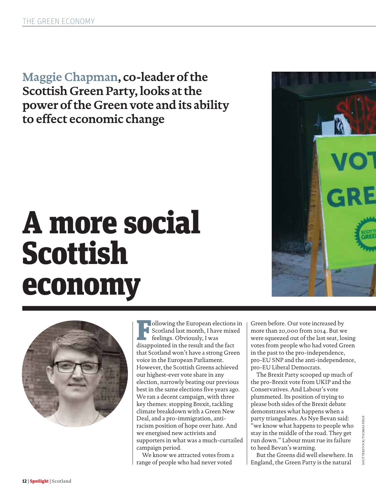**Maggie Chapman, co-leader of the Scottish Green Party, looks at the power of the Green vote and its ability to effect economic change**

# A more social Scottish economy



**Following the European elections in**<br>Scotland last month, I have mixed<br>feelings. Obviously, I was<br>disappointed in the result and the fact Scotland last month, I have mixed feelings. Obviously, I was disappointed in the result and the fact that Scotland won't have a strong Green voice in the European Parliament. However, the Scottish Greens achieved our highest-ever vote share in any election, narrowly beating our previous best in the same elections five years ago. We ran a decent campaign, with three key themes: stopping Brexit, tackling climate breakdown with a Green New Deal, and a pro-immigration, antiracism position of hope over hate. And we energised new activists and supporters in what was a much-curtailed campaign period.

We know we attracted votes from a range of people who had never voted

Green before. Our vote increased by more than 20,000 from 2014. But we were squeezed out of the last seat, losing votes from people who had voted Green in the past to the pro-independence, pro-EU SNP and the anti-independence, pro-EU Liberal Democrats.

The Brexit Party scooped up much of the pro-Brexit vote from UKIP and the Conservatives. And Labour's vote plummeted. Its position of trying to please both sides of the Brexit debate demonstrates what happens when a party triangulates. As Nye Bevan said: "we know what happens to people who stay in the middle of the road. They get run down." Labour must rue its failure to heed Bevan's warning.

But the Greens did well elsewhere. In England, the Green Party is the natural

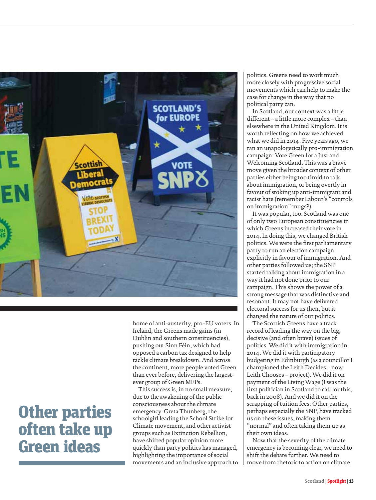

# Other parties often take up Green ideas

home of anti-austerity, pro-EU voters. In Ireland, the Greens made gains (in Dublin and southern constituencies), pushing out Sinn Féin, which had opposed a carbon tax designed to help tackle climate breakdown. And across the continent, more people voted Green than ever before, delivering the largestever group of Green MEPs.

This success is, in no small measure, due to the awakening of the public consciousness about the climate emergency. Greta Thunberg, the schoolgirl leading the School Strike for Climate movement, and other activist groups such as Extinction Rebellion, have shifted popular opinion more quickly than party politics has managed, highlighting the importance of social movements and an inclusive approach to

politics. Greens need to work much more closely with progressive social movements which can help to make the case for change in the way that no political party can.

In Scotland, our context was a little different – a little more complex – than elsewhere in the United Kingdom. It is worth reflecting on how we achieved what we did in 2014. Five years ago, we ran an unapologetically pro-immigration campaign: Vote Green for a Just and Welcoming Scotland. This was a brave move given the broader context of other parties either being too timid to talk about immigration, or being overtly in favour of stoking up anti-immigrant and racist hate (remember Labour's "controls on immigration" mugs?).

It was popular, too. Scotland was one of only two European constituencies in which Greens increased their vote in 2014. In doing this, we changed British politics. We were the first parliamentary party to run an election campaign explicitly in favour of immigration. And other parties followed us; the SNP started talking about immigration in a way it had not done prior to our campaign. This shows the power of a strong message that was distinctive and resonant. It may not have delivered electoral success for us then, but it changed the nature of our politics.

The Scottish Greens have a track record of leading the way on the big, decisive (and often brave) issues of politics. We did it with immigration in 2014. We did it with participatory budgeting in Edinburgh (as a councillor I championed the Leith Decides – now Leith Chooses – project). We did it on payment of the Living Wage (I was the first politician in Scotland to call for this, back in 2008). And we did it on the scrapping of tuition fees. Other parties, perhaps especially the SNP, have tracked us on these issues, making them "normal" and often taking them up as their own ideas.

Now that the severity of the climate emergency is becoming clear, we need to shift the debate further. We need to move from rhetoric to action on climate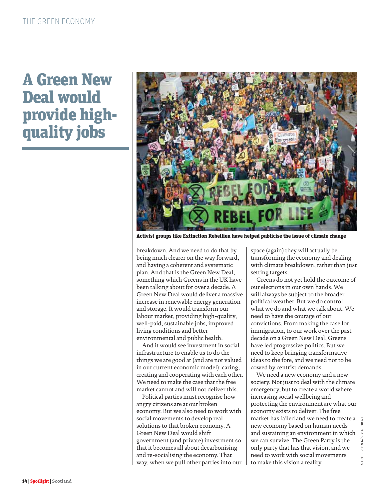# A Green New Deal would provide highquality jobs



Activist groups like Extinction Rebellion have helped publicise the issue of climate change

breakdown. And we need to do that by being much clearer on the way forward, and having a coherent and systematic plan. And that is the Green New Deal, something which Greens in the UK have been talking about for over a decade. A Green New Deal would deliver a massive increase in renewable energy generation and storage. It would transform our labour market, providing high-quality, well-paid, sustainable jobs, improved living conditions and better environmental and public health.

And it would see investment in social infrastructure to enable us to do the things we are good at (and are not valued in our current economic model): caring, creating and cooperating with each other. We need to make the case that the free market cannot and will not deliver this.

Political parties must recognise how angry citizens are at our broken economy. But we also need to work with social movements to develop real solutions to that broken economy. A Green New Deal would shift government (and private) investment so that it becomes all about decarbonising and re-socialising the economy. That way, when we pull other parties into our

space (again) they will actually be transforming the economy and dealing with climate breakdown, rather than just setting targets.

Greens do not yet hold the outcome of our elections in our own hands. We will always be subject to the broader political weather. But we do control what we do and what we talk about. We need to have the courage of our convictions. From making the case for immigration, to our work over the past decade on a Green New Deal, Greens have led progressive politics. But we need to keep bringing transformative ideas to the fore, and we need not to be cowed by centrist demands.

We need a new economy and a new society. Not just to deal with the climate emergency, but to create a world where increasing social wellbeing and protecting the environment are what our economy exists to deliver. The free market has failed and we need to create a new economy based on human needs and sustaining an environment in which we can survive. The Green Party is the only party that has that vision, and we need to work with social movements to make this vision a reality.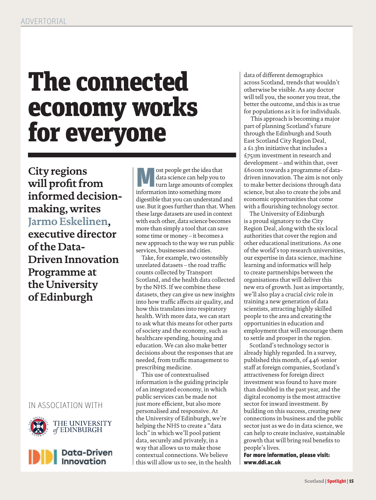# The connected economy works for everyone

**City regions will profit from informed decisionmaking, writes Jarmo Eskelinen, executive director of the Data-Driven Innovation Programme at the University of Edinburgh**

### IN ASSOCIATION WITH





 $\begin{array}{|l|} \hline \multicolumn{1}{r}{\text{M}} \end{array} \begin{array}{ll} \text{ost people get the idea that} \\ \text{data science can help you to turn large amounts of compi} \\ \text{information into something more} \end{array}$ data science can help you to turn large amounts of complex information into something more digestible that you can understand and use. But it goes further than that. When these large datasets are used in context with each other, data science becomes more than simply a tool that can save some time or money – it becomes a new approach to the way we run public services, businesses and cities.

Take, for example, two ostensibly unrelated datasets – the road traffic counts collected by Transport Scotland, and the health data collected by the NHS. If we combine these datasets, they can give us new insights into how traffic affects air quality, and how this translates into respiratory health. With more data, we can start to ask what this means for other parts of society and the economy, such as healthcare spending, housing and education. We can also make better decisions about the responses that are needed, from traffic management to prescribing medicine.

This use of contextualised information is the guiding principle of an integrated economy, in which public services can be made not just more efficient, but also more personalised and responsive. At the University of Edinburgh, we're helping the NHS to create a "data loch" in which we'll pool patient data, securely and privately, in a way that allows us to make those contextual connections. We believe this will allow us to see, in the health data of different demographics across Scotland, trends that wouldn't otherwise be visible. As any doctor will tell you, the sooner you treat, the better the outcome, and this is as true for populations as it is for individuals.

 This approach is becoming a major part of planning Scotland's future through the Edinburgh and South East Scotland City Region Deal, a £1.3bn initiative that includes a £751m investment in research and development – and within that, over £600m towards a programme of datadriven innovation. The aim is not only to make better decisions through data science, but also to create the jobs and economic opportunities that come with a flourishing technology sector.

The University of Edinburgh is a proud signatory to the City Region Deal, along with the six local authorities that cover the region and other educational institutions. As one of the world's top research universities, our expertise in data science, machine learning and informatics will help to create partnerships between the organisations that will deliver this new era of growth. Just as importantly, we'll also play a crucial civic role in training a new generation of data scientists, attracting highly skilled people to the area and creating the opportunities in education and employment that will encourage them to settle and prosper in the region.

Scotland's technology sector is already highly regarded. In a survey, published this month, of 446 senior staff at foreign companies, Scotland's attractiveness for foreign direct investment was found to have more than doubled in the past year, and the digital economy is the most attractive sector for inward investment. By building on this success, creating new connections in business and the public sector just as we do in data science, we can help to create inclusive, sustainable growth that will bring real benefits to people's lives.

For more information, please visit: www.ddi.ac.uk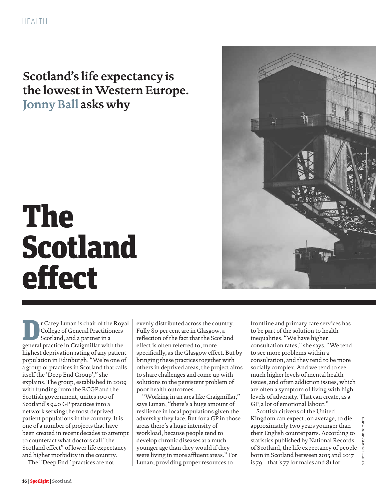### **Scotland's life expectancy is the lowest in Western Europe. Jonny Ball asks why**

# The Scotland effect

**Dr Carey Lunan is chair of the Royal College of General Practitioners**<br> **Scotland**, and a partner in a<br>
general practice in Craigmillar with the College of General Practitioners Scotland, and a partner in a highest deprivation rating of any patient population in Edinburgh. "We're one of a group of practices in Scotland that calls itself the 'Deep End Group'," she explains. The group, established in 2009 with funding from the RCGP and the Scottish government, unites 100 of Scotland's 940 GP practices into a network serving the most deprived patient populations in the country. It is one of a number of projects that have been created in recent decades to attempt to counteract what doctors call "the Scotland effect" of lower life expectancy and higher morbidity in the country.

The "Deep End" practices are not

evenly distributed across the country. Fully 80 per cent are in Glasgow, a reflection of the fact that the Scotland effect is often referred to, more specifically, as the Glasgow effect. But by bringing these practices together with others in deprived areas, the project aims to share challenges and come up with solutions to the persistent problem of poor health outcomes.

"Working in an area like Craigmillar," says Lunan, "there's a huge amount of resilience in local populations given the adversity they face. But for a GP in those areas there's a huge intensity of workload, because people tend to develop chronic diseases at a much younger age than they would if they were living in more affluent areas." For Lunan, providing proper resources to

frontline and primary care services has to be part of the solution to health inequalities. "We have higher consultation rates," she says. "We tend to see more problems within a consultation, and they tend to be more socially complex. And we tend to see much higher levels of mental health issues, and often addiction issues, which are often a symptom of living with high levels of adversity. That can create, as a GP, a lot of emotional labour."

Scottish citizens of the United Kingdom can expect, on average, to die approximately two years younger than their English counterparts. According to statistics published by National Records of Scotland, the life expectancy of people born in Scotland between 2015 and 2017 is 79 – that's 77 for males and 81 for

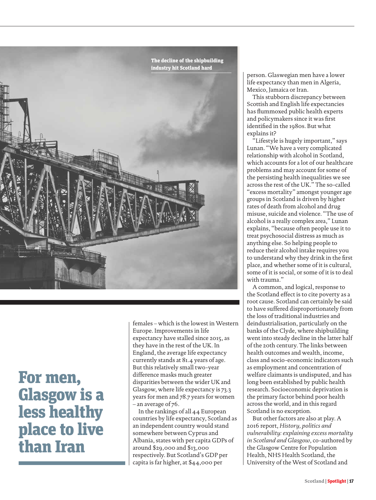

# For men, Glasgow is a less healthy place to live than Iran

females – which is the lowest in Western Europe. Improvements in life expectancy have stalled since 2015, as they have in the rest of the UK. In England, the average life expectancy currently stands at 81.4 years of age. But this relatively small two-year difference masks much greater disparities between the wider UK and Glasgow, where life expectancy is 73.3 years for men and 78.7 years for women – an average of 76.

In the rankings of all 44 European countries by life expectancy, Scotland as an independent country would stand somewhere between Cyprus and Albania, states with per capita GDPs of around \$29,000 and \$13,000 respectively. But Scotland's GDP per capita is far higher, at \$44,000 per

person. Glaswegian men have a lower life expectancy than men in Algeria, Mexico, Jamaica or Iran.

This stubborn discrepancy between Scottish and English life expectancies has flummoxed public health experts and policymakers since it was first identified in the 1980s. But what explains it?

"Lifestyle is hugely important," says Lunan. "We have a very complicated relationship with alcohol in Scotland, which accounts for a lot of our healthcare problems and may account for some of the persisting health inequalities we see across the rest of the UK." The so-called "excess mortality" amongst younger age groups in Scotland is driven by higher rates of death from alcohol and drug misuse, suicide and violence. "The use of alcohol is a really complex area," Lunan explains, "because often people use it to treat psychosocial distress as much as anything else. So helping people to reduce their alcohol intake requires you to understand why they drink in the first place, and whether some of it is cultural, some of it is social, or some of it is to deal with trauma."

A common, and logical, response to the Scotland effect is to cite poverty as a root cause. Scotland can certainly be said to have suffered disproportionately from the loss of traditional industries and deindustrialisation, particularly on the banks of the Clyde, where shipbuilding went into steady decline in the latter half of the 20th century. The links between health outcomes and wealth, income, class and socio-economic indicators such as employment and concentration of welfare claimants is undisputed, and has long been established by public health research. Socioeconomic deprivation is the primary factor behind poor health across the world, and in this regard Scotland is no exception.

But other factors are also at play. A 2016 report, *History, politics and vulnerability: explaining excess mortality in Scotland and Glasgow*, co-authored by the Glasgow Centre for Population Health, NHS Health Scotland, the University of the West of Scotland and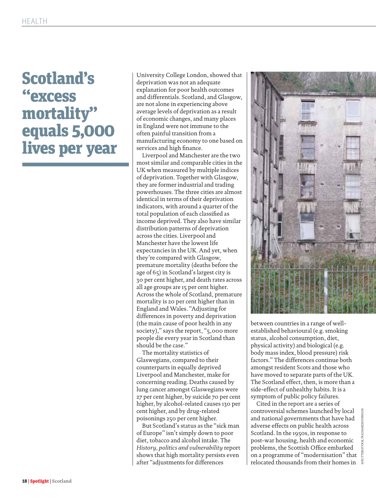# Scotland's "excess mortality" equals 5,000 lives per year

University College London, showed that deprivation was not an adequate explanation for poor health outcomes and differentials. Scotland, and Glasgow, are not alone in experiencing above average levels of deprivation as a result of economic changes, and many places in England were not immune to the often painful transition from a manufacturing economy to one based on services and high finance.

Liverpool and Manchester are the two most similar and comparable cities in the UK when measured by multiple indices of deprivation. Together with Glasgow, they are former industrial and trading powerhouses. The three cities are almost identical in terms of their deprivation indicators, with around a quarter of the total population of each classified as income deprived. They also have similar distribution patterns of deprivation across the cities. Liverpool and Manchester have the lowest life expectancies in the UK. And yet, when they're compared with Glasgow, premature mortality (deaths before the age of 65) in Scotland's largest city is 30 per cent higher, and death rates across all age groups are 15 per cent higher. Across the whole of Scotland, premature mortality is 20 per cent higher than in England and Wales. "Adjusting for differences in poverty and deprivation (the main cause of poor health in any society)," says the report, "5,000 more people die every year in Scotland than should be the case."

The mortality statistics of Glaswegians, compared to their counterparts in equally deprived Liverpool and Manchester, make for concerning reading. Deaths caused by lung cancer amongst Glaswegians were 27 per cent higher, by suicide 70 per cent higher, by alcohol-related causes 130 per cent higher, and by drug-related poisonings 250 per cent higher.

But Scotland's status as the "sick man of Europe" isn't simply down to poor diet, tobacco and alcohol intake. The *History, politics and vulnerability* report shows that high mortality persists even after "adjustments for differences



between countries in a range of wellestablished behavioural (e.g. smoking status, alcohol consumption, diet, physical activity) and biological (e.g. body mass index, blood pressure) risk factors." The differences continue both amongst resident Scots and those who have moved to separate parts of the UK. The Scotland effect, then, is more than a side-effect of unhealthy habits. It is a symptom of public policy failures.

Cited in the report are a series of controversial schemes launched by local and national governments that have had adverse effects on public health across Scotland. In the 1950s, in response to post-war housing, health and economic problems, the Scottish Office embarked on a programme of "modernisation" that relocated thousands from their homes in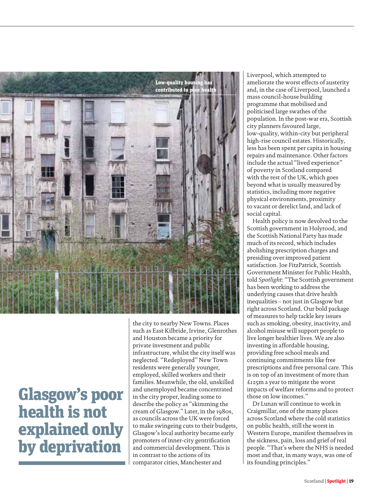

# Glasgow's poor health is not explained only by deprivation

the city to nearby New Towns. Places such as East Kilbride, Irvine, Glenrothes and Houston became a priority for private investment and public infrastructure, whilst the city itself was neglected. "Redeployed" New Town residents were generally younger, employed, skilled workers and their families. Meanwhile, the old, unskilled and unemployed became concentrated in the city proper, leading some to describe the policy as "skimming the cream of Glasgow." Later, in the 1980s, as councils across the UK were forced to make swingeing cuts to their budgets, Glasgow's local authority became early promoters of inner-city gentrification and commercial development. This is in contrast to the actions of its comparator cities, Manchester and

Liverpool, which attempted to ameliorate the worst effects of austerity and, in the case of Liverpool, launched a mass council-house building programme that mobilised and politicised large swathes of the population. In the post-war era, Scottish city planners favoured large, low-quality, within-city but peripheral high-rise council estates. Historically, less has been spent per capita in housing repairs and maintenance. Other factors include the actual "lived experience" of poverty in Scotland compared with the rest of the UK, which goes beyond what is usually measured by statistics, including more negative physical environments, proximity to vacant or derelict land, and lack of social capital.

Health policy is now devolved to the Scottish government in Holyrood, and the Scottish National Party has made much of its record, which includes abolishing prescription charges and presiding over improved patient satisfaction. Joe FitzPatrick, Scottish Government Minister for Public Health, told *Spotlight*: "The Scottish government has been working to address the underlying causes that drive health inequalities – not just in Glasgow but right across Scotland. Our bold package of measures to help tackle key issues such as smoking, obesity, inactivity, and alcohol misuse will support people to live longer healthier lives. We are also investing in affordable housing, providing free school meals and continuing commitments like free prescriptions and free personal care. This is on top of an investment of more than £125m a year to mitigate the worst impacts of welfare reforms and to protect those on low incomes."

Dr Lunan will continue to work in Craigmillar, one of the many places across Scotland where the cold statistics on public health, still the worst in Western Europe, manifest themselves in the sickness, pain, loss and grief of real people. "That's where the NHS is needed most and that, in many ways, was one of its founding principles."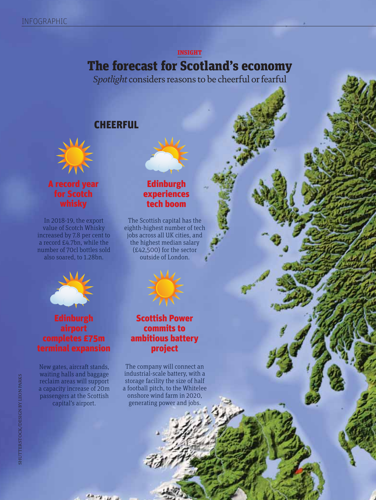#### INSIGHT

### The forecast for Scotland's economy

*Spotlight* considers reasons to be cheerful or fearful

### **CHEERFUL**



A record year for Scotch whisky

In 2018-19, the export value of Scotch Whisky increased by 7.8 per cent to a record £4.7bn, while the number of 70cl bottles sold also soared, to 1.28bn.



### Edinburgh airport completes £75m terminal expansion

New gates, aircraft stands, waiting halls and baggage reclaim areas will support a capacity increase of 20m passengers at the Scottish capital's airport.

### Edinburgh experiences tech boom

The Scottish capital has the eighth-highest number of tech jobs across all UK cities, and the highest median salary (£42,500) for the sector outside of London.



### Scottish Power commits to ambitious battery project

The company will connect an industrial-scale battery, with a storage facility the size of half a football pitch, to the Whitelee onshore wind farm in 2020, generating power and jobs.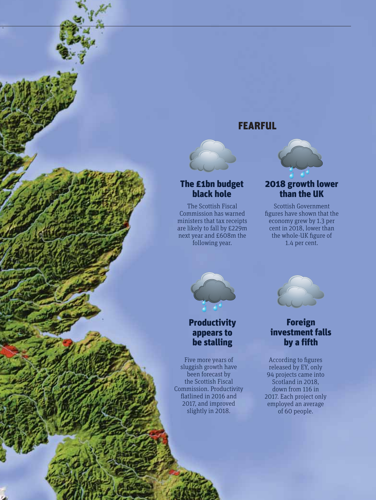### FEARFUL



### The £1bn budget black hole

The Scottish Fiscal Commission has warned ministers that tax receipts are likely to fall by £229m next year and £608m the following year.

### 2018 growth lower than the UK

Scottish Government figures have shown that the economy grew by 1.3 per cent in 2018, lower than the whole-UK figure of 1.4 per cent.



### **Productivity** appears to be stalling

Five more years of sluggish growth have been forecast by the Scottish Fiscal Commission. Productivity flatlined in 2016 and 2017, and improved slightly in 2018.



### Foreign investment falls by a fifth

According to figures released by EY, only 94 projects came into Scotland in 2018. down from 116 in 2017. Each project only employed an average of 60 people.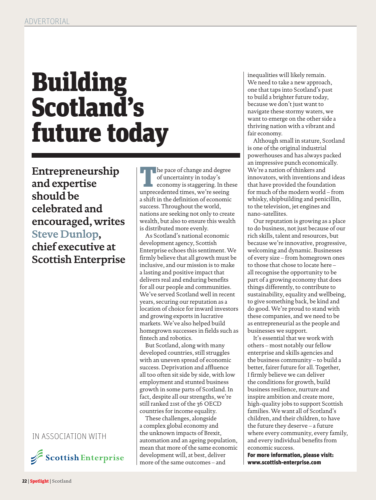# Building Scotland's future today

**Entrepreneurship and expertise should be celebrated and encouraged, writes Steve Dunlop, chief executive at Scottish Enterprise**

#### IN ASSOCIATION WITH



The pace of change and degree of uncertainty in today's economy is staggering. In the unprecedented times, we're seeing of uncertainty in today's economy is staggering. In these a shift in the definition of economic success. Throughout the world, nations are seeking not only to create wealth, but also to ensure this wealth is distributed more evenly.

As Scotland's national economic development agency, Scottish Enterprise echoes this sentiment. We firmly believe that all growth must be inclusive, and our mission is to make a lasting and positive impact that delivers real and enduring benefits for all our people and communities. We've served Scotland well in recent years, securing our reputation as a location of choice for inward investors and growing exports in lucrative markets. We've also helped build homegrown successes in fields such as fintech and robotics.

But Scotland, along with many developed countries, still struggles with an uneven spread of economic success. Deprivation and affluence all too often sit side by side, with low employment and stunted business growth in some parts of Scotland. In fact, despite all our strengths, we're still ranked 21st of the 36 OECD countries for income equality.

These challenges, alongside a complex global economy and the unknown impacts of Brexit, automation and an ageing population, mean that more of the same economic development will, at best, deliver more of the same outcomes – and

inequalities will likely remain. We need to take a new approach, one that taps into Scotland's past to build a brighter future today, because we don't just want to navigate these stormy waters, we want to emerge on the other side a thriving nation with a vibrant and fair economy.

Although small in stature, Scotland is one of the original industrial powerhouses and has always packed an impressive punch economically. We're a nation of thinkers and innovators, with inventions and ideas that have provided the foundation for much of the modern world – from whisky, shipbuilding and penicillin, to the television, jet engines and nano-satellites.

Our reputation is growing as a place to do business, not just because of our rich skills, talent and resources, but because we're innovative, progressive, welcoming and dynamic. Businesses of every size – from homegrown ones to those that chose to locate here – all recognise the opportunity to be part of a growing economy that does things differently, to contribute to sustainability, equality and wellbeing, to give something back, be kind and do good. We're proud to stand with these companies, and we need to be as entrepreneurial as the people and businesses we support.

It's essential that we work with others – most notably our fellow enterprise and skills agencies and the business community – to build a better, fairer future for all. Together, I firmly believe we can deliver the conditions for growth, build business resilience, nurture and inspire ambition and create more, high-quality jobs to support Scottish families. We want all of Scotland's children, and their children, to have the future they deserve – a future where every community, every family, and every individual benefits from economic success.

For more information, please visit: www.scottish-enterprise.com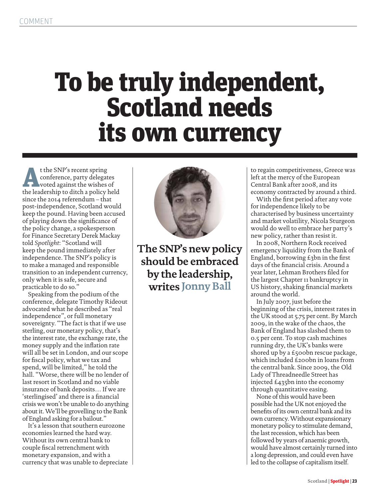# To be truly independent, Scotland needs its own currency

t the SNP's recent spring<br>
conference, party delegates<br>
voted against the wishes of<br>
the leadership to ditch a policy held conference, party delegates voted against the wishes of since the 2014 referendum – that post-independence, Scotland would keep the pound. Having been accused of playing down the significance of the policy change, a spokesperson for Finance Secretary Derek Mackay told *Spotlight*: "Scotland will keep the pound immediately after independence. The SNP's policy is to make a managed and responsible transition to an independent currency, only when it is safe, secure and practicable to do so."

Speaking from the podium of the conference, delegate Timothy Rideout advocated what he described as "real independence", or full monetary sovereignty. "The fact is that if we use sterling, our monetary policy, that's the interest rate, the exchange rate, the money supply and the inflation rate will all be set in London, and our scope for fiscal policy, what we tax and spend, will be limited," he told the hall. "Worse, there will be no lender of last resort in Scotland and no viable insurance of bank deposits… If we are 'sterlingised' and there is a financial crisis we won't be unable to do anything about it. We'll be grovelling to the Bank of England asking for a bailout."

It's a lesson that southern eurozone economies learned the hard way. Without its own central bank to couple fiscal retrenchment with monetary expansion, and with a currency that was unable to depreciate



**The SNP's new policy should be embraced by the leadership, writes Jonny Ball**

to regain competitiveness, Greece was left at the mercy of the European Central Bank after 2008, and its economy contracted by around a third.

With the first period after any vote for independence likely to be characterised by business uncertainty and market volatility, Nicola Sturgeon would do well to embrace her party's new policy, rather than resist it.

In 2008, Northern Rock received emergency liquidity from the Bank of England, borrowing £3bn in the first days of the financial crisis. Around a year later, Lehman Brothers filed for the largest Chapter 11 bankruptcy in US history, shaking financial markets around the world.

In July 2007, just before the beginning of the crisis, interest rates in the UK stood at 5.75 per cent. By March 2009, in the wake of the chaos, the Bank of England has slashed them to 0.5 per cent. To stop cash machines running dry, the UK's banks were shored up by a £500bn rescue package, which included £200bn in loans from the central bank. Since 2009, the Old Lady of Threadneedle Street has injected £435bn into the economy through quantitative easing.

None of this would have been possible had the UK not enjoyed the benefits of its own central bank and its own currency. Without expansionary monetary policy to stimulate demand, the last recession, which has been followed by years of anaemic growth, would have almost certainly turned into a long depression, and could even have led to the collapse of capitalism itself.